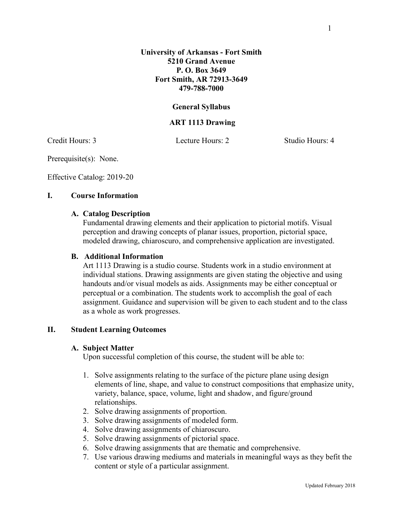### **General Syllabus**

### **ART 1113 Drawing**

Credit Hours: 3 Lecture Hours: 2 Studio Hours: 4

Prerequisite(s): None.

Effective Catalog: 2019-20

### **I. Course Information**

#### **A. Catalog Description**

Fundamental drawing elements and their application to pictorial motifs. Visual perception and drawing concepts of planar issues, proportion, pictorial space, modeled drawing, chiaroscuro, and comprehensive application are investigated.

#### **B. Additional Information**

Art 1113 Drawing is a studio course. Students work in a studio environment at individual stations. Drawing assignments are given stating the objective and using handouts and/or visual models as aids. Assignments may be either conceptual or perceptual or a combination. The students work to accomplish the goal of each assignment. Guidance and supervision will be given to each student and to the class as a whole as work progresses.

### **II. Student Learning Outcomes**

### **A. Subject Matter**

Upon successful completion of this course, the student will be able to:

- 1. Solve assignments relating to the surface of the picture plane using design elements of line, shape, and value to construct compositions that emphasize unity, variety, balance, space, volume, light and shadow, and figure/ground relationships.
- 2. Solve drawing assignments of proportion.
- 3. Solve drawing assignments of modeled form.
- 4. Solve drawing assignments of chiaroscuro.
- 5. Solve drawing assignments of pictorial space.
- 6. Solve drawing assignments that are thematic and comprehensive.
- 7. Use various drawing mediums and materials in meaningful ways as they befit the content or style of a particular assignment.